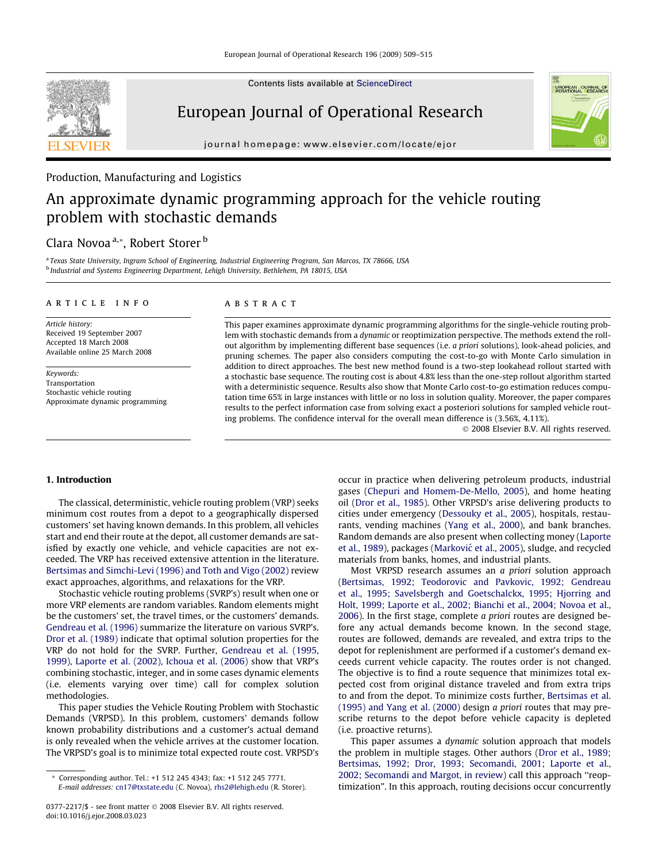

Contents lists available at [ScienceDirect](http://www.sciencedirect.com/science/journal/03772217)

# European Journal of Operational Research

journal homepage: [www.elsevier.com/locate/ejor](http://www.elsevier.com/locate/ejor)

#### Production, Manufacturing and Logistics

# An approximate dynamic programming approach for the vehicle routing problem with stochastic demands

### Clara Novoa<sup>a,\*</sup>, Robert Storer<sup>b</sup>

a Texas State University, Ingram School of Engineering, Industrial Engineering Program, San Marcos, TX 78666, USA <sup>b</sup> Industrial and Systems Engineering Department, Lehigh University, Bethlehem, PA 18015, USA

#### article info

Article history: Received 19 September 2007 Accepted 18 March 2008 Available online 25 March 2008

Keywords: Transportation Stochastic vehicle routing Approximate dynamic programming

#### **ABSTRACT**

This paper examines approximate dynamic programming algorithms for the single-vehicle routing problem with stochastic demands from a dynamic or reoptimization perspective. The methods extend the rollout algorithm by implementing different base sequences (i.e. a priori solutions), look-ahead policies, and pruning schemes. The paper also considers computing the cost-to-go with Monte Carlo simulation in addition to direct approaches. The best new method found is a two-step lookahead rollout started with a stochastic base sequence. The routing cost is about 4.8% less than the one-step rollout algorithm started with a deterministic sequence. Results also show that Monte Carlo cost-to-go estimation reduces computation time 65% in large instances with little or no loss in solution quality. Moreover, the paper compares results to the perfect information case from solving exact a posteriori solutions for sampled vehicle routing problems. The confidence interval for the overall mean difference is (3.56%, 4.11%).

- 2008 Elsevier B.V. All rights reserved.

#### 1. Introduction

The classical, deterministic, vehicle routing problem (VRP) seeks minimum cost routes from a depot to a geographically dispersed customers' set having known demands. In this problem, all vehicles start and end their route at the depot, all customer demands are satisfied by exactly one vehicle, and vehicle capacities are not exceeded. The VRP has received extensive attention in the literature. [Bertsimas and Simchi-Levi \(1996\) and Toth and Vigo \(2002\)](#page--1-0) review exact approaches, algorithms, and relaxations for the VRP.

Stochastic vehicle routing problems (SVRP's) result when one or more VRP elements are random variables. Random elements might be the customers' set, the travel times, or the customers' demands. [Gendreau et al. \(1996\)](#page--1-0) summarize the literature on various SVRP's. [Dror et al. \(1989\)](#page--1-0) indicate that optimal solution properties for the VRP do not hold for the SVRP. Further, [Gendreau et al. \(1995,](#page--1-0) [1999\), Laporte et al. \(2002\), Ichoua et al. \(2006\)](#page--1-0) show that VRP's combining stochastic, integer, and in some cases dynamic elements (i.e. elements varying over time) call for complex solution methodologies.

This paper studies the Vehicle Routing Problem with Stochastic Demands (VRPSD). In this problem, customers' demands follow known probability distributions and a customer's actual demand is only revealed when the vehicle arrives at the customer location. The VRPSD's goal is to minimize total expected route cost. VRPSD's

occur in practice when delivering petroleum products, industrial gases ([Chepuri and Homem-De-Mello, 2005\)](#page--1-0), and home heating oil [\(Dror et al., 1985](#page--1-0)). Other VRPSD's arise delivering products to cities under emergency [\(Dessouky et al., 2005](#page--1-0)), hospitals, restaurants, vending machines ([Yang et al., 2000\)](#page--1-0), and bank branches. Random demands are also present when collecting money [\(Laporte](#page--1-0) [et al., 1989](#page--1-0)), packages (Marković [et al., 2005\)](#page--1-0), sludge, and recycled materials from banks, homes, and industrial plants.

Most VRPSD research assumes an a priori solution approach ([Bertsimas, 1992; Teodorovic and Pavkovic, 1992; Gendreau](#page--1-0) [et al., 1995; Savelsbergh and Goetschalckx, 1995; Hjorring and](#page--1-0) [Holt, 1999; Laporte et al., 2002; Bianchi et al., 2004; Novoa et al.,](#page--1-0) [2006](#page--1-0)). In the first stage, complete a priori routes are designed before any actual demands become known. In the second stage, routes are followed, demands are revealed, and extra trips to the depot for replenishment are performed if a customer's demand exceeds current vehicle capacity. The routes order is not changed. The objective is to find a route sequence that minimizes total expected cost from original distance traveled and from extra trips to and from the depot. To minimize costs further, [Bertsimas et al.](#page--1-0) [\(1995\) and Yang et al. \(2000\)](#page--1-0) design a priori routes that may prescribe returns to the depot before vehicle capacity is depleted (i.e. proactive returns).

This paper assumes a dynamic solution approach that models the problem in multiple stages. Other authors [\(Dror et al., 1989;](#page--1-0) [Bertsimas, 1992; Dror, 1993; Secomandi, 2001; Laporte et al.,](#page--1-0) [2002; Secomandi and Margot, in review](#page--1-0)) call this approach ''reoptimization". In this approach, routing decisions occur concurrently

Corresponding author. Tel.: +1 512 245 4343; fax: +1 512 245 7771. E-mail addresses: [cn17@txstate.edu](mailto:cn17@txstate.edu) (C. Novoa), [rhs2@lehigh.edu](mailto:rhs2@lehigh.edu) (R. Storer).

<sup>0377-2217/\$ -</sup> see front matter © 2008 Elsevier B.V. All rights reserved. doi:10.1016/j.ejor.2008.03.023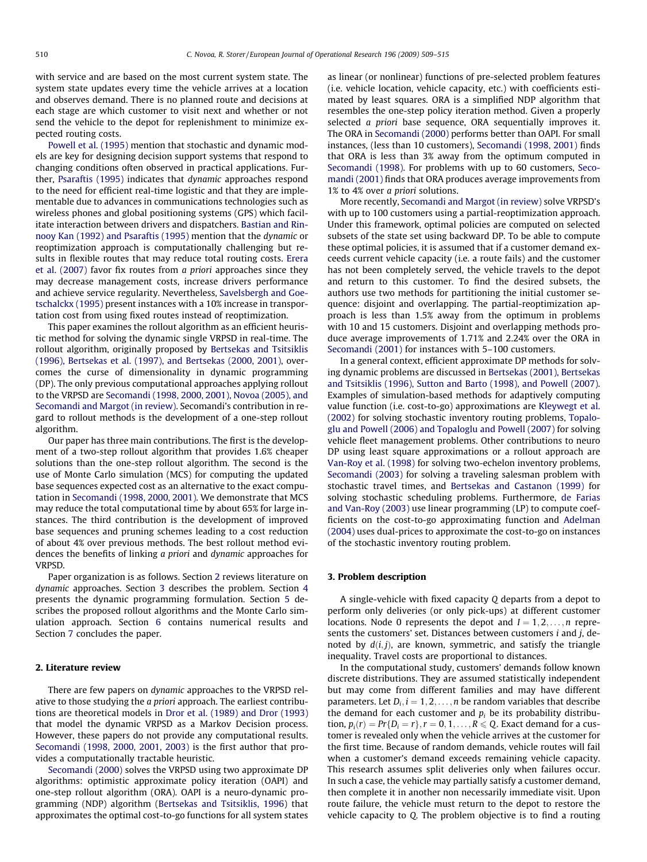with service and are based on the most current system state. The system state updates every time the vehicle arrives at a location and observes demand. There is no planned route and decisions at each stage are which customer to visit next and whether or not send the vehicle to the depot for replenishment to minimize expected routing costs.

[Powell et al. \(1995\)](#page--1-0) mention that stochastic and dynamic models are key for designing decision support systems that respond to changing conditions often observed in practical applications. Further, [Psaraftis \(1995\)](#page--1-0) indicates that dynamic approaches respond to the need for efficient real-time logistic and that they are implementable due to advances in communications technologies such as wireless phones and global positioning systems (GPS) which facilitate interaction between drivers and dispatchers. [Bastian and Rin](#page--1-0)[nooy Kan \(1992\) and Psaraftis \(1995\)](#page--1-0) mention that the dynamic or reoptimization approach is computationally challenging but results in flexible routes that may reduce total routing costs. [Erera](#page--1-0) [et al. \(2007\)](#page--1-0) favor fix routes from a priori approaches since they may decrease management costs, increase drivers performance and achieve service regularity. Nevertheless, [Savelsbergh and Goe](#page--1-0)[tschalckx \(1995\)](#page--1-0) present instances with a 10% increase in transportation cost from using fixed routes instead of reoptimization.

This paper examines the rollout algorithm as an efficient heuristic method for solving the dynamic single VRPSD in real-time. The rollout algorithm, originally proposed by [Bertsekas and Tsitsiklis](#page--1-0) [\(1996\), Bertsekas et al. \(1997\), and Bertsekas \(2000, 2001\),](#page--1-0) overcomes the curse of dimensionality in dynamic programming (DP). The only previous computational approaches applying rollout to the VRPSD are [Secomandi \(1998, 2000, 2001\), Novoa \(2005\), and](#page--1-0) [Secomandi and Margot \(in review\)](#page--1-0). Secomandi's contribution in regard to rollout methods is the development of a one-step rollout algorithm.

Our paper has three main contributions. The first is the development of a two-step rollout algorithm that provides 1.6% cheaper solutions than the one-step rollout algorithm. The second is the use of Monte Carlo simulation (MCS) for computing the updated base sequences expected cost as an alternative to the exact computation in [Secomandi \(1998, 2000, 2001\).](#page--1-0) We demonstrate that MCS may reduce the total computational time by about 65% for large instances. The third contribution is the development of improved base sequences and pruning schemes leading to a cost reduction of about 4% over previous methods. The best rollout method evidences the benefits of linking a priori and dynamic approaches for VRPSD.

Paper organization is as follows. Section 2 reviews literature on dynamic approaches. Section 3 describes the problem. Section [4](#page--1-0) presents the dynamic programming formulation. Section [5](#page--1-0) describes the proposed rollout algorithms and the Monte Carlo simulation approach. Section [6](#page--1-0) contains numerical results and Section [7](#page--1-0) concludes the paper.

#### 2. Literature review

There are few papers on dynamic approaches to the VRPSD relative to those studying the a priori approach. The earliest contributions are theoretical models in [Dror et al. \(1989\) and Dror \(1993\)](#page--1-0) that model the dynamic VRPSD as a Markov Decision process. However, these papers do not provide any computational results. [Secomandi \(1998, 2000, 2001, 2003\)](#page--1-0) is the first author that provides a computationally tractable heuristic.

[Secomandi \(2000\)](#page--1-0) solves the VRPSD using two approximate DP algorithms: optimistic approximate policy iteration (OAPI) and one-step rollout algorithm (ORA). OAPI is a neuro-dynamic programming (NDP) algorithm [\(Bertsekas and Tsitsiklis, 1996\)](#page--1-0) that approximates the optimal cost-to-go functions for all system states

as linear (or nonlinear) functions of pre-selected problem features (i.e. vehicle location, vehicle capacity, etc.) with coefficients estimated by least squares. ORA is a simplified NDP algorithm that resembles the one-step policy iteration method. Given a properly selected *a priori* base sequence, ORA sequentially improves it. The ORA in [Secomandi \(2000\)](#page--1-0) performs better than OAPI. For small instances, (less than 10 customers), [Secomandi \(1998, 2001\)](#page--1-0) finds that ORA is less than 3% away from the optimum computed in [Secomandi \(1998\)](#page--1-0). For problems with up to 60 customers, [Seco](#page--1-0)[mandi \(2001\)](#page--1-0) finds that ORA produces average improvements from 1% to 4% over a priori solutions.

More recently, [Secomandi and Margot \(in review\)](#page--1-0) solve VRPSD's with up to 100 customers using a partial-reoptimization approach. Under this framework, optimal policies are computed on selected subsets of the state set using backward DP. To be able to compute these optimal policies, it is assumed that if a customer demand exceeds current vehicle capacity (i.e. a route fails) and the customer has not been completely served, the vehicle travels to the depot and return to this customer. To find the desired subsets, the authors use two methods for partitioning the initial customer sequence: disjoint and overlapping. The partial-reoptimization approach is less than 1.5% away from the optimum in problems with 10 and 15 customers. Disjoint and overlapping methods produce average improvements of 1.71% and 2.24% over the ORA in [Secomandi \(2001\)](#page--1-0) for instances with 5–100 customers.

In a general context, efficient approximate DP methods for solving dynamic problems are discussed in [Bertsekas \(2001\), Bertsekas](#page--1-0) [and Tsitsiklis \(1996\), Sutton and Barto \(1998\), and Powell \(2007\).](#page--1-0) Examples of simulation-based methods for adaptively computing value function (i.e. cost-to-go) approximations are [Kleywegt et al.](#page--1-0) [\(2002\)](#page--1-0) for solving stochastic inventory routing problems, [Topalo](#page--1-0)[glu and Powell \(2006\) and Topaloglu and Powell \(2007\)](#page--1-0) for solving vehicle fleet management problems. Other contributions to neuro DP using least square approximations or a rollout approach are [Van-Roy et al. \(1998\)](#page--1-0) for solving two-echelon inventory problems, [Secomandi \(2003\)](#page--1-0) for solving a traveling salesman problem with stochastic travel times, and [Bertsekas and Castanon \(1999\)](#page--1-0) for solving stochastic scheduling problems. Furthermore, [de Farias](#page--1-0) [and Van-Roy \(2003\)](#page--1-0) use linear programming (LP) to compute coefficients on the cost-to-go approximating function and [Adelman](#page--1-0) [\(2004\)](#page--1-0) uses dual-prices to approximate the cost-to-go on instances of the stochastic inventory routing problem.

#### 3. Problem description

A single-vehicle with fixed capacity Q departs from a depot to perform only deliveries (or only pick-ups) at different customer locations. Node 0 represents the depot and  $I = 1, 2, \ldots, n$  represents the customers' set. Distances between customers *i* and *j*, denoted by  $d(i, j)$ , are known, symmetric, and satisfy the triangle inequality. Travel costs are proportional to distances.

In the computational study, customers' demands follow known discrete distributions. They are assumed statistically independent but may come from different families and may have different parameters. Let  $D_i$ ,  $i = 1, 2, \ldots, n$  be random variables that describe the demand for each customer and  $p_i$  be its probability distribution,  $p_i(r) = Pr\{D_i = r\}, r = 0, 1, \ldots, R \leq Q$ . Exact demand for a customer is revealed only when the vehicle arrives at the customer for the first time. Because of random demands, vehicle routes will fail when a customer's demand exceeds remaining vehicle capacity. This research assumes split deliveries only when failures occur. In such a case, the vehicle may partially satisfy a customer demand, then complete it in another non necessarily immediate visit. Upon route failure, the vehicle must return to the depot to restore the vehicle capacity to Q. The problem objective is to find a routing